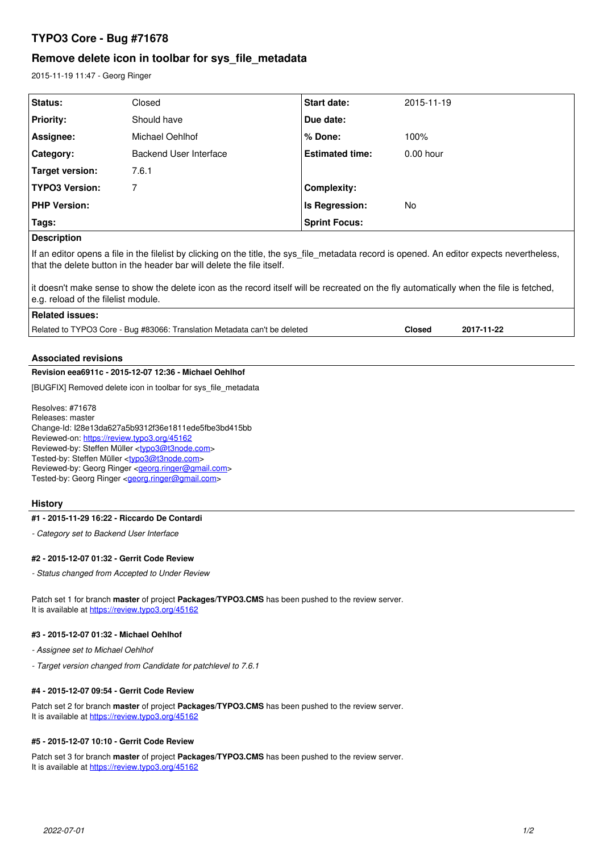# **TYPO3 Core - Bug #71678**

# **Remove delete icon in toolbar for sys\_file\_metadata**

2015-11-19 11:47 - Georg Ringer

| Status:                                                                                                                                                                                                              | Closed                 | Start date:            | 2015-11-19                  |
|----------------------------------------------------------------------------------------------------------------------------------------------------------------------------------------------------------------------|------------------------|------------------------|-----------------------------|
| <b>Priority:</b>                                                                                                                                                                                                     | Should have            | Due date:              |                             |
| Assignee:                                                                                                                                                                                                            | Michael Oehlhof        | $%$ Done:              | 100%                        |
| Category:                                                                                                                                                                                                            | Backend User Interface | <b>Estimated time:</b> | $0.00$ hour                 |
| Target version:                                                                                                                                                                                                      | 7.6.1                  |                        |                             |
| <b>TYPO3 Version:</b>                                                                                                                                                                                                | 7                      | <b>Complexity:</b>     |                             |
| <b>PHP Version:</b>                                                                                                                                                                                                  |                        | Is Regression:         | No.                         |
| Tags:                                                                                                                                                                                                                |                        | <b>Sprint Focus:</b>   |                             |
| <b>Description</b>                                                                                                                                                                                                   |                        |                        |                             |
| If an editor opens a file in the filelist by clicking on the title, the sys_file_metadata record is opened. An editor expects nevertheless,<br>that the delete button in the header bar will delete the file itself. |                        |                        |                             |
| it doesn't make sense to show the delete icon as the record itself will be recreated on the fly automatically when the file is fetched,<br>e.g. reload of the filelist module.                                       |                        |                        |                             |
| <b>Related issues:</b>                                                                                                                                                                                               |                        |                        |                             |
| Related to TYPO3 Core - Bug #83066: Translation Metadata can't be deleted                                                                                                                                            |                        |                        | 2017-11-22<br><b>Closed</b> |
|                                                                                                                                                                                                                      |                        |                        |                             |

# **Associated revisions**

## **Revision eea6911c - 2015-12-07 12:36 - Michael Oehlhof**

[BUGFIX] Removed delete icon in toolbar for sys\_file\_metadata

Resolves: #71678 Releases: master Change-Id: I28e13da627a5b9312f36e1811ede5fbe3bd415bb Reviewed-on:<https://review.typo3.org/45162> Reviewed-by: Steffen Müller [<typo3@t3node.com>](mailto:typo3@t3node.com) Tested-by: Steffen Müller [<typo3@t3node.com>](mailto:typo3@t3node.com) Reviewed-by: Georg Ringer <**[georg.ringer@gmail.com](mailto:georg.ringer@gmail.com)>** Tested-by: Georg Ringer < georg.ringer@gmail.com>

#### **History**

#### **#1 - 2015-11-29 16:22 - Riccardo De Contardi**

*- Category set to Backend User Interface*

#### **#2 - 2015-12-07 01:32 - Gerrit Code Review**

*- Status changed from Accepted to Under Review*

Patch set 1 for branch **master** of project **Packages/TYPO3.CMS** has been pushed to the review server. It is available at <https://review.typo3.org/45162>

#### **#3 - 2015-12-07 01:32 - Michael Oehlhof**

- *Assignee set to Michael Oehlhof*
- *Target version changed from Candidate for patchlevel to 7.6.1*

## **#4 - 2015-12-07 09:54 - Gerrit Code Review**

Patch set 2 for branch **master** of project **Packages/TYPO3.CMS** has been pushed to the review server. It is available at <https://review.typo3.org/45162>

#### **#5 - 2015-12-07 10:10 - Gerrit Code Review**

Patch set 3 for branch **master** of project **Packages/TYPO3.CMS** has been pushed to the review server. It is available at <https://review.typo3.org/45162>